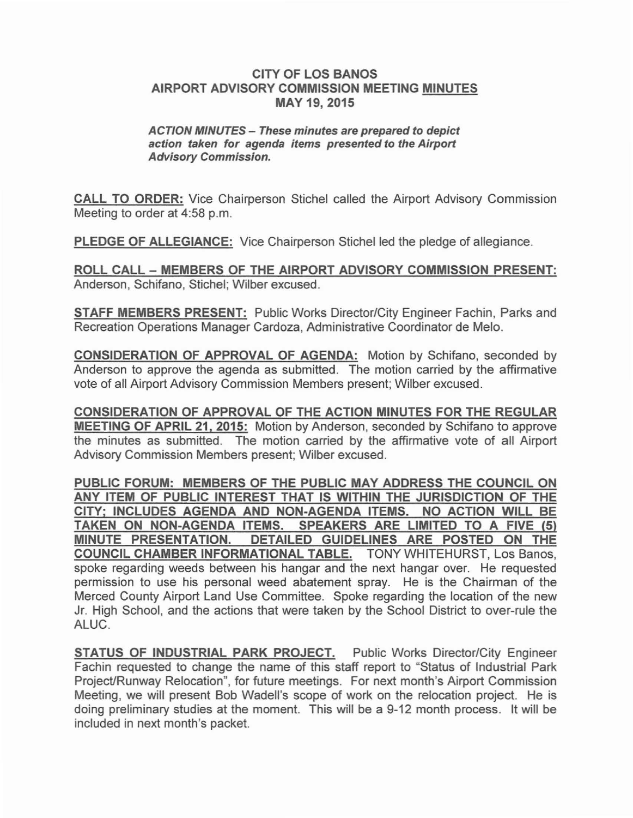## CITY OF LOS BANOS AIRPORT ADVISORY COMMISSION MEETING MINUTES MAY 19, 2015

## ACTION MINUTES - These minutes are prepared to depict action taken for agenda items presented to the Airport Advisory Commission.

CALL TO ORDER: Vice Chairperson Stichel called the Airport Advisory Commission Meeting to order at 4:58 p.m.

PLEDGE OF ALLEGIANCE: Vice Chairperson Stichel led the pledge of allegiance.

ROLL CALL - MEMBERS OF THE AIRPORT ADVISORY COMMISSION PRESENT: Anderson, Schifano, Stichel; Wilber excused.

STAFF MEMBERS PRESENT: Public Works Director/City Engineer Fachin, Parks and Recreation Operations Manager Cardoza, Administrative Coordinator de Melo.

CONSIDERATION OF APPROVAL OF AGENDA: Motion by Schifano, seconded by Anderson to approve the agenda as submitted. The motion carried by the affirmative vote of all Airport Advisory Commission Members present; Wilber excused.

CONSIDERATION OF APPROVAL OF THE ACTION MINUTES FOR THE REGULAR MEETING OF APRIL 21, 2015: Motion by Anderson, seconded by Schifano to approve the minutes as submitted. The motion carried by the affirmative vote of all Airport Advisory Commission Members present; Wilber excused.

PUBLIC FORUM: MEMBERS OF THE PUBLIC MAY ADDRESS THE COUNCIL ON ANY ITEM OF PUBLIC INTEREST THAT IS WITHIN THE JURISDICTION OF THE CITY; INCLUDES AGENDA AND NON-AGENDA ITEMS. NO ACTION WILL BE TAKEN ON NON-AGENDA ITEMS. SPEAKERS ARE LIMITED TO A FIVE (5) MINUTE PRESENTATION. DETAILED GUIDELINES ARE POSTED ON THE COUNCIL CHAMBER INFORMATIONAL TABLE. TONY WHITEHURST, Los Banos, spoke regarding weeds between his hangar and the next hangar over. He requested permission to use his personal weed abatement spray. He is the Chairman of the Merced County Airport Land Use Committee. Spoke regarding the location of the new Jr. High School, and the actions that were taken by the School District to over-rule the ALUC.

STATUS OF INDUSTRIAL PARK PROJECT. Public Works Director/City Engineer Fachin requested to change the name of this staff report to "Status of Industrial Park Project/Runway Relocation", for future meetings. For next month's Airport Commission Meeting, we will present Bob Wadell's scope of work on the relocation project. He is doing preliminary studies at the moment. This will be a 9-12 month process. It will be included in next month's packet.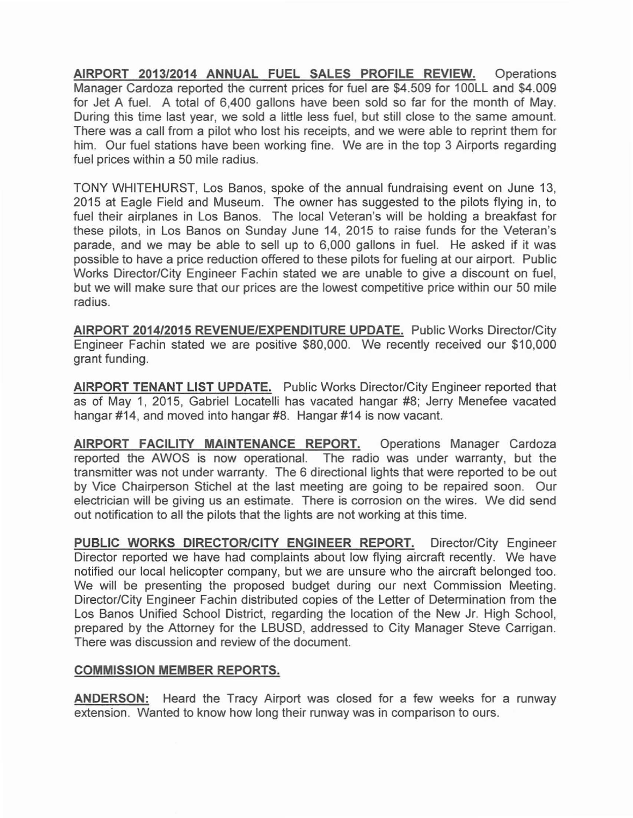**AIRPORT 2013/2014 ANNUAL FUEL SALES PROFILE REVIEW.** Operations Manager Cardoza reported the current prices for fuel are \$4.509 for 100LL and \$4.009 for Jet A fuel. A total of 6,400 gallons have been sold so far for the month of May. During this time last year, we sold a little less fuel, but still close to the same amount. There was a call from a pilot who lost his receipts, and we were able to reprint them for him. Our fuel stations have been working fine. We are in the top 3 Airports regarding fuel prices within a 50 mile radius.

TONY WHITEHURST, Los Banos, spoke of the annual fundraising event on June 13, 2015 at Eagle Field and Museum. The owner has suggested to the pilots flying in, to fuel their airplanes in Los Banos. The local Veteran's will be holding a breakfast for these pilots, in Los Banos on Sunday June 14, 2015 to raise funds for the Veteran's parade, and we may be able to sell up to 6,000 gallons in fuel. He asked if it was possible to have a price reduction offered to these pilots for fueling at our airport. Public Works Director/City Engineer Fachin stated we are unable to give a discount on fuel, but we will make sure that our prices are the lowest competitive price within our 50 mile radius.

**AIRPORT 2014/2015 REVENUE/EXPENDITURE UPDATE.** Public Works Director/City Engineer Fachin stated we are positive \$80,000. We recently received our \$10,000 grant funding.

**AIRPORT TENANT LIST UPDATE.** Public Works Director/City Engineer reported that as of May 1, 2015, Gabriel Locatelli has vacated hangar #8; Jerry Menefee vacated hangar #14, and moved into hangar #8. Hangar #14 is now vacant.

**AIRPORT FACILITY MAINTENANCE REPORT.** Operations Manager Cardoza reported the AWOS is now operational. The radio was under warranty, but the transmitter was not under warranty. The 6 directional lights that were reported to be out by Vice Chairperson Stichel at the last meeting are going to be repaired soon. Our electrician will be giving us an estimate. There is corrosion on the wires. We did send out notification to all the pilots that the lights are not working at this time.

**PUBLIC WORKS DIRECTOR/CITY ENGINEER REPORT.** Director/City Engineer Director reported we have had complaints about low flying aircraft recently. We have notified our local helicopter company, but we are unsure who the aircraft belonged too. We will be presenting the proposed budget during our next Commission Meeting. Director/City Engineer Fachin distributed copies of the Letter of Determination from the Los Banos Unified School District, regarding the location of the New Jr. High School, prepared by the Attorney for the LBUSD, addressed to City Manager Steve Carrigan. There was discussion and review of the document.

## **COMMISSION MEMBER REPORTS.**

**ANDERSON:** Heard the Tracy Airport was closed for a few weeks for a runway extension. Wanted to know how long their runway was in comparison to ours.